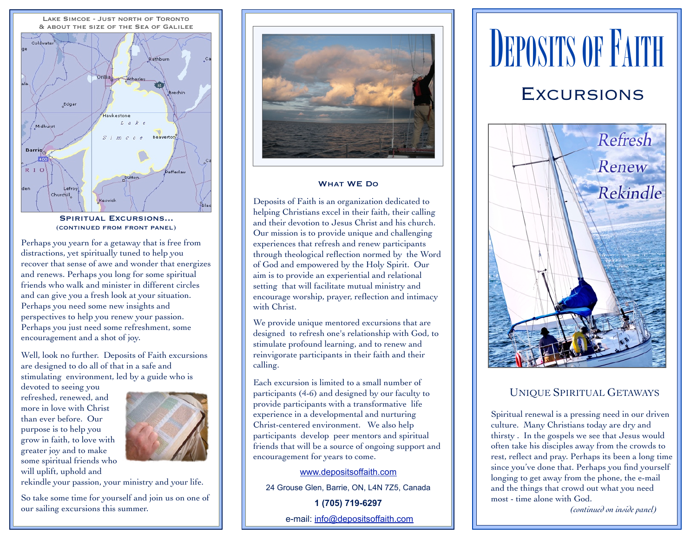

SPIRITUAL EXCURSIONS... (continued from front panel)

Perhaps you yearn for a getaway that is free from distractions, yet spiritually tuned to help you recover that sense of awe and wonder that energizes and renews. Perhaps you long for some spiritual friends who walk and minister in different circles and can give you a fresh look at your situation. Perhaps you need some new insights and perspectives to help you renew your passion. Perhaps you just need some refreshment, some encouragement and a shot of joy.

Well, look no further. Deposits of Faith excursions are designed to do all of that in a safe and stimulating environment, led by a guide who is

devoted to seeing you refreshed, renewed, and more in love with Christ than ever before. Our purpose is to help you grow in faith, to love with greater joy and to make some spiritual friends who will uplift, uphold and



rekindle your passion, your ministry and your life.

So take some time for yourself and join us on one of our sailing excursions this summer.



#### What WE Do

Deposits of Faith is an organization dedicated to helping Christians excel in their faith, their calling and their devotion to Jesus Christ and his church. Our mission is to provide unique and challenging experiences that refresh and renew participants through theological reflection normed by the Word of God and empowered by the Holy Spirit. Our aim is to provide an experiential and relational setting that will facilitate mutual ministry and encourage worship, prayer, reflection and intimacy with Christ.

We provide unique mentored excursions that are designed to refresh one's relationship with God, to stimulate profound learning, and to renew and reinvigorate participants in their faith and their calling.

Each excursion is limited to a small number of participants (4-6) and designed by our faculty to provide participants with a transformative life experience in a developmental and nurturing Christ-centered environment. We also help participants develop peer mentors and spiritual friends that will be a source of ongoing support and encouragement for years to come.

#### [www.depositsoffaith.com](http://www.depositsoffaith.com)

24 Grouse Glen, Barrie, ON, L4N 7Z5, Canada

**1 (705) 719-6297** e-mail: [info@depositsoffaith.com](mailto:info@depositsoffaith.com)

# **DEPOSITS OF FAITH**

### EXCURSIONS



#### UNIQUE SPIRITUAL GETAWAYS

Spiritual renewal is a pressing need in our driven culture. Many Christians today are dry and thirsty . In the gospels we see that Jesus would often take his disciples away from the crowds to rest, reflect and pray. Perhaps its been a long time since you've done that. Perhaps you find yourself longing to get away from the phone, the e-mail and the things that crowd out what you need most - time alone with God.

*(continued on inside panel)*